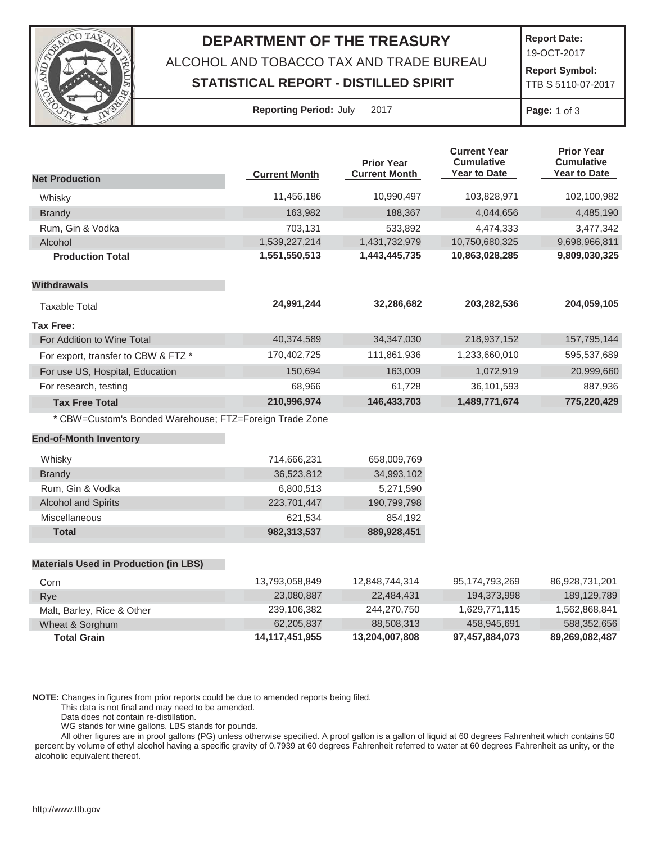

## **DEPARTMENT OF THE TREASURY**

ALCOHOL AND TOBACCO TAX AND TRADE BUREAU

## **STATISTICAL REPORT - DISTILLED SPIRIT**

**Report Date:**

19-OCT-2017

**Report Symbol:** TTB S 5110-07-2017

| <b>Reporting Period: July</b> |  |  | 20 <sup>2</sup> |
|-------------------------------|--|--|-----------------|
|-------------------------------|--|--|-----------------|

**Page:** 1 of 3

|                                                         |                      | <b>Prior Year</b>    | <b>Current Year</b><br><b>Cumulative</b> | <b>Prior Year</b><br><b>Cumulative</b> |
|---------------------------------------------------------|----------------------|----------------------|------------------------------------------|----------------------------------------|
| <b>Net Production</b>                                   | <b>Current Month</b> | <b>Current Month</b> | Year to Date                             | <b>Year to Date</b>                    |
| Whisky                                                  | 11,456,186           | 10,990,497           | 103,828,971                              | 102,100,982                            |
| <b>Brandy</b>                                           | 163,982              | 188,367              | 4,044,656                                | 4,485,190                              |
| Rum, Gin & Vodka                                        | 703,131              | 533,892              | 4,474,333                                | 3,477,342                              |
| Alcohol                                                 | 1,539,227,214        | 1,431,732,979        | 10,750,680,325                           | 9,698,966,811                          |
| <b>Production Total</b>                                 | 1,551,550,513        | 1,443,445,735        | 10,863,028,285                           | 9,809,030,325                          |
| <b>Withdrawals</b>                                      |                      |                      |                                          |                                        |
| <b>Taxable Total</b>                                    | 24,991,244           | 32,286,682           | 203,282,536                              | 204,059,105                            |
| <b>Tax Free:</b>                                        |                      |                      |                                          |                                        |
| For Addition to Wine Total                              | 40,374,589           | 34, 347, 030         | 218,937,152                              | 157,795,144                            |
| For export, transfer to CBW & FTZ *                     | 170,402,725          | 111,861,936          | 1,233,660,010                            | 595,537,689                            |
| For use US, Hospital, Education                         | 150,694              | 163,009              | 1,072,919                                | 20,999,660                             |
| For research, testing                                   | 68,966               | 61,728               | 36,101,593                               | 887,936                                |
| <b>Tax Free Total</b>                                   | 210,996,974          | 146,433,703          | 1,489,771,674                            | 775,220,429                            |
| * CBW=Custom's Bonded Warehouse; FTZ=Foreign Trade Zone |                      |                      |                                          |                                        |
| <b>End-of-Month Inventory</b>                           |                      |                      |                                          |                                        |
| Whisky                                                  | 714,666,231          | 658,009,769          |                                          |                                        |
| <b>Brandy</b>                                           | 36,523,812           | 34,993,102           |                                          |                                        |
| Rum, Gin & Vodka                                        | 6,800,513            | 5,271,590            |                                          |                                        |
| <b>Alcohol and Spirits</b>                              | 223,701,447          | 190,799,798          |                                          |                                        |
| Miscellaneous                                           | 621,534              | 854,192              |                                          |                                        |
| <b>Total</b>                                            | 982,313,537          | 889,928,451          |                                          |                                        |
|                                                         |                      |                      |                                          |                                        |
| <b>Materials Used in Production (in LBS)</b>            |                      |                      |                                          |                                        |
| Corn                                                    | 13,793,058,849       | 12,848,744,314       | 95,174,793,269                           | 86,928,731,201                         |

| <b>Total Grain</b>         | 14,117,451,955              | 13,204,007,808                        | 97,457,884,073 | 89,269,082,487 |
|----------------------------|-----------------------------|---------------------------------------|----------------|----------------|
| Wheat & Sorghum            | 62.205.837                  | 88,508,313                            | 458.945.691    | 588,352,656    |
| Malt, Barley, Rice & Other | 239,106,382                 | 244.270.750                           | 1.629.771.115  | 1,562,868,841  |
| Rye                        | 23,080,887                  | 22.484.431                            | 194.373.998    | 189,129,789    |
| וווטט                      | 10,100,000, <del>01</del> 0 | , דו ט <sub>י</sub> דד <i>ו</i> , טדט | 0.117.100.200  | 00,020,101,201 |

**NOTE:** Changes in figures from prior reports could be due to amended reports being filed.

This data is not final and may need to be amended.

Data does not contain re-distillation.

WG stands for wine gallons. LBS stands for pounds.

All other figures are in proof gallons (PG) unless otherwise specified. A proof gallon is a gallon of liquid at 60 degrees Fahrenheit which contains 50 percent by volume of ethyl alcohol having a specific gravity of 0.7939 at 60 degrees Fahrenheit referred to water at 60 degrees Fahrenheit as unity, or the alcoholic equivalent thereof.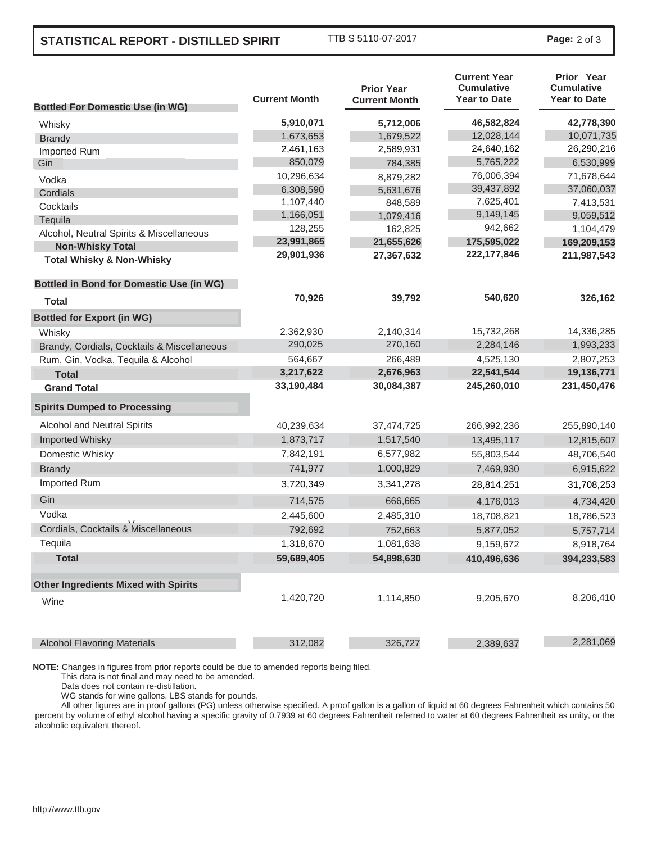## **STATISTICAL REPORT - DISTILLED SPIRIT** TTB S 5110-07-2017 **Page:** <sup>2</sup> of 3

| <b>Bottled For Domestic Use (in WG)</b>         | <b>Current Month</b> | <b>Prior Year</b><br><b>Current Month</b> | <b>Current Year</b><br><b>Cumulative</b><br><b>Year to Date</b> | Prior Year<br><b>Cumulative</b><br><b>Year to Date</b> |
|-------------------------------------------------|----------------------|-------------------------------------------|-----------------------------------------------------------------|--------------------------------------------------------|
|                                                 | 5,910,071            | 5,712,006                                 | 46,582,824                                                      | 42,778,390                                             |
| Whisky                                          | 1,673,653            | 1,679,522                                 | 12,028,144                                                      | 10,071,735                                             |
| <b>Brandy</b>                                   | 2,461,163            | 2,589,931                                 | 24,640,162                                                      | 26,290,216                                             |
| Imported Rum<br>Gin                             | 850,079              | 784,385                                   | 5,765,222                                                       | 6,530,999                                              |
|                                                 | 10,296,634           | 8,879,282                                 | 76,006,394                                                      | 71,678,644                                             |
| Vodka<br>Cordials                               | 6,308,590            | 5,631,676                                 | 39,437,892                                                      | 37,060,037                                             |
| Cocktails                                       | 1,107,440            | 848,589                                   | 7,625,401                                                       | 7,413,531                                              |
| Tequila                                         | 1,166,051            | 1,079,416                                 | 9,149,145                                                       | 9,059,512                                              |
| Alcohol, Neutral Spirits & Miscellaneous        | 128,255              | 162,825                                   | 942,662                                                         | 1,104,479                                              |
| <b>Non-Whisky Total</b>                         | 23,991,865           | 21,655,626                                | 175,595,022                                                     | 169,209,153                                            |
| <b>Total Whisky &amp; Non-Whisky</b>            | 29,901,936           | 27,367,632                                | 222, 177, 846                                                   | 211,987,543                                            |
| <b>Bottled in Bond for Domestic Use (in WG)</b> |                      |                                           |                                                                 |                                                        |
| <b>Total</b>                                    | 70,926               | 39,792                                    | 540,620                                                         | 326,162                                                |
| <b>Bottled for Export (in WG)</b>               |                      |                                           |                                                                 |                                                        |
| Whisky                                          | 2,362,930            | 2,140,314                                 | 15,732,268                                                      | 14,336,285                                             |
| Brandy, Cordials, Cocktails & Miscellaneous     | 290,025              | 270,160                                   | 2,284,146                                                       | 1,993,233                                              |
| Rum, Gin, Vodka, Tequila & Alcohol              | 564,667              | 266,489                                   | 4,525,130                                                       | 2,807,253                                              |
| <b>Total</b>                                    | 3,217,622            | 2,676,963                                 | 22,541,544                                                      | 19,136,771                                             |
| <b>Grand Total</b>                              | 33,190,484           | 30,084,387                                | 245,260,010                                                     | 231,450,476                                            |
| <b>Spirits Dumped to Processing</b>             |                      |                                           |                                                                 |                                                        |
| Alcohol and Neutral Spirits                     | 40,239,634           | 37,474,725                                | 266,992,236                                                     | 255,890,140                                            |
| <b>Imported Whisky</b>                          | 1,873,717            | 1,517,540                                 | 13,495,117                                                      | 12,815,607                                             |
| Domestic Whisky                                 | 7,842,191            | 6,577,982                                 | 55,803,544                                                      | 48,706,540                                             |
| <b>Brandy</b>                                   | 741,977              | 1,000,829                                 | 7,469,930                                                       | 6,915,622                                              |
| Imported Rum                                    | 3,720,349            | 3,341,278                                 | 28,814,251                                                      | 31,708,253                                             |
| Gin                                             | 714,575              | 666,665                                   | 4,176,013                                                       | 4,734,420                                              |
| Vodka                                           | 2,445,600            | 2,485,310                                 | 18,708,821                                                      | 18,786,523                                             |
| Cordials, Cocktails & Miscellaneous             | 792,692              | 752,663                                   | 5,877,052                                                       | 5,757,714                                              |
| Tequila                                         | 1,318,670            | 1,081,638                                 | 9,159,672                                                       | 8,918,764                                              |
| <b>Total</b>                                    | 59,689,405           | 54,898,630                                | 410,496,636                                                     | 394,233,583                                            |
| <b>Other Ingredients Mixed with Spirits</b>     |                      |                                           |                                                                 |                                                        |
| Wine                                            | 1,420,720            | 1,114,850                                 | 9,205,670                                                       | 8,206,410                                              |
| <b>Alcohol Flavoring Materials</b>              | 312,082              | 326,727                                   | 2,389,637                                                       | 2,281,069                                              |

**NOTE:** Changes in figures from prior reports could be due to amended reports being filed.

This data is not final and may need to be amended.

Data does not contain re-distillation.

WG stands for wine gallons. LBS stands for pounds.

All other figures are in proof gallons (PG) unless otherwise specified. A proof gallon is a gallon of liquid at 60 degrees Fahrenheit which contains 50 percent by volume of ethyl alcohol having a specific gravity of 0.7939 at 60 degrees Fahrenheit referred to water at 60 degrees Fahrenheit as unity, or the alcoholic equivalent thereof.